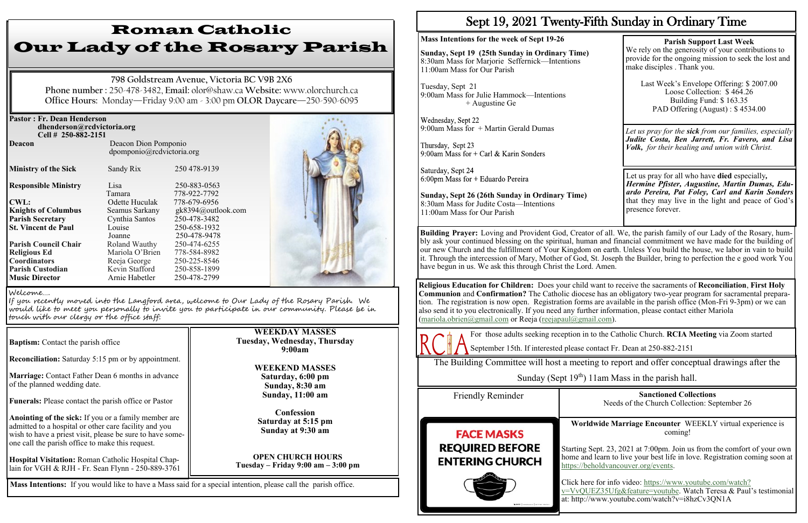| <b>Pastor: Fr. Dean Henderson</b><br>dhenderson@rcdvictoria.org<br>Cell # 250-882-2151 |                                                   |                              |  |
|----------------------------------------------------------------------------------------|---------------------------------------------------|------------------------------|--|
| <b>Deacon</b>                                                                          | Deacon Dion Pomponio<br>dpomponio@rcdvictoria.org |                              |  |
| <b>Ministry of the Sick</b>                                                            | Sandy Rix                                         | 250 478-9139                 |  |
| <b>Responsible Ministry</b>                                                            | Lisa<br>Tamara                                    | 250-883-0563<br>778-922-7792 |  |
| <b>CWL:</b>                                                                            | Odette Huculak                                    | 778-679-6956                 |  |
| <b>Knights of Columbus</b>                                                             | Seamus Sarkany                                    | gk8394@outlook.com           |  |
| <b>Parish Secretary</b>                                                                | Cynthia Santos                                    | 250-478-3482                 |  |
| <b>St. Vincent de Paul</b>                                                             | Louise                                            | 250-658-1932                 |  |
|                                                                                        | Joanne                                            | 250-478-9478                 |  |
| <b>Parish Council Chair</b>                                                            | Roland Wauthy                                     | 250-474-6255                 |  |
| <b>Religious Ed</b>                                                                    | Mariola O'Brien                                   | 778-584-8982                 |  |
| <b>Coordinators</b>                                                                    | Reeja George                                      | 250-225-8546                 |  |
| <b>Parish Custodian</b>                                                                | Kevin Stafford                                    | 250-858-1899                 |  |
| <b>Music Director</b>                                                                  | Arnie Habetler                                    | 250-478-2799                 |  |

**Reconciliation:** Saturday 5:15 pm or by appointment.

**Marriage:** Contact Father Dean 6 months in advance of the planned wedding date.

**Funerals:** Please contact the parish office or Pastor

**Anointing of the sick:** If you or a family member are admitted to a hospital or other care facility and you wish to have a priest visit, please be sure to have someone call the parish office to make this request.

**Hospital Visitation:** Roman Catholic Hospital Chaplain for VGH & RJH - Fr. Sean Flynn - 250-889-3761 Wednesday, Sept 22 9:00am Mass for + Martin Gerald Dumas

Thursday, Sept 23 9:00am Mass for + Carl & Karin Sonders

Saturday, Sept 24 6:00pm Mass for + Eduardo Pereira

# Roman Catholic Our Lady of the Rosary Parish

**798 Goldstream Avenue, Victoria BC V9B 2X6 Phone number :** 250-478-3482, **Email:** olor@shaw.ca **Website:** www.olorchurch.ca **Office Hours:** Monday—Friday 9:00 am - 3:00 pm **OLOR Daycare**—250-590-6095

### **WEEKDAY MASSES Tuesday, Wednesday, Thursday 9:00am**

**WEEKEND MASSES Saturday, 6:00 pm Sunday, 8:30 am Sunday, 11:00 am** 

**Confession Saturday at 5:15 pm Sunday at 9:30 am**

**OPEN CHURCH HOURS Tuesday – Friday 9:00 am – 3:00 pm**



If you recently moved into the Langford area, welcome to Our Lady of the Rosary Parish. We would like to meet you personally to invite you to participate in our community. Please be in touch with our clergy or the office staff:

**Baptism:** Contact the parish office

**Mass Intentions:** If you would like to have a Mass said for a special intention, please call the parish office.

## Sept 19, 2021 Twenty-Fifth Sunday in Ordinary Time

### **Mass Intentions for the week of Sept 19-26**

**Sunday, Sept 19 (25th Sunday in Ordinary Time)** 8:30am Mass for Marjorie Seffernick—Intentions 11:00am Mass for Our Parish

Tuesday, Sept 21 9:00am Mass for Julie Hammock—Intentions + Augustine Ge

**Sunday, Sept 26 (26th Sunday in Ordinary Time)** 8:30am Mass for Judite Costa—Intentions 11:00am Mass for Our Parish

### **Parish Support Last Week**

We rely on the generosity of your contributions to provide for the ongoing mission to seek the lost and make disciples . Thank you.

Last Week's Envelope Offering: \$ 2007.00 Loose Collection: \$ 464.26 Building Fund: \$ 163.35 PAD Offering (August) : \$ 4534.00

Let us pray for all who have **died** especially*, Hermine Pfister, Augustine, Martin Dumas, Eduardo Pereira, Pat Foley, Carl and Karin Sonders*  that they may live in the light and peace of God's presence forever.

*Let us pray for the sick from our families, especially Judite Costa, Ben Jarrett, Fr. Favero, and Lisa Volk, for their healing and union with Christ.*

**Religious Education for Children:** Does your child want to receive the sacraments of **Reconciliation**, **First Holy Communion** and **Confirmation?** The Catholic diocese has an obligatory two-year program for sacramental preparation. The registration is now open. Registration forms are available in the parish office (Mon-Fri 9-3pm) or we can also send it to you electronically. If you need any further information, please contact either Mariola [\(mariola.obrien@gmail.com](mailto:mariola.obrien@gmail.com) or Reeja ([reejapaul@gmail.com\).](mailto:reejapaul@gmail.com)



**Building Prayer:** Loving and Provident God, Creator of all. We, the parish family of our Lady of the Rosary, humbly ask your continued blessing on the spiritual, human and financial commitment we have made for the building of our new Church and the fulfillment of Your Kingdom on earth. Unless You build the house, we labor in vain to build it. Through the intercession of Mary, Mother of God, St. Joseph the Builder, bring to perfection the e good work You have begun in us. We ask this through Christ the Lord. Amen.

For those adults seeking reception in to the Catholic Church. **RCIA Meeting** via Zoom started

September 15th. If interested please contact Fr. Dean at 250-882-2151

The Building Committee will host a meeting to report and offer conceptual drawings after the

Sunday (Sept  $19<sup>th</sup>$ ) 11am Mass in the parish hall.

**Sanctioned Collections** Needs of the Church Collection: September 26



**Worldwide Marriage Encounter** WEEKLY virtual experience is coming!

Starting Sept. 23, 2021 at 7:00pm. Join us from the comfort of your own home and learn to live your best life in love. Registration coming soon at [https://beholdvancouver.org/events.](https://beholdvancouver.org/events)

Click here for info video: [https://www.youtube.com/watch?](https://www.youtube.com/watch?v=VvQUEZ35Ufg&feature=youtube) [v=VvQUEZ35Ufg&feature=youtube.](https://www.youtube.com/watch?v=VvQUEZ35Ufg&feature=youtube) Watch Teresa & Paul's testimonial at: http://www.youtube.com/watch?v=i8hzCv3QN1A